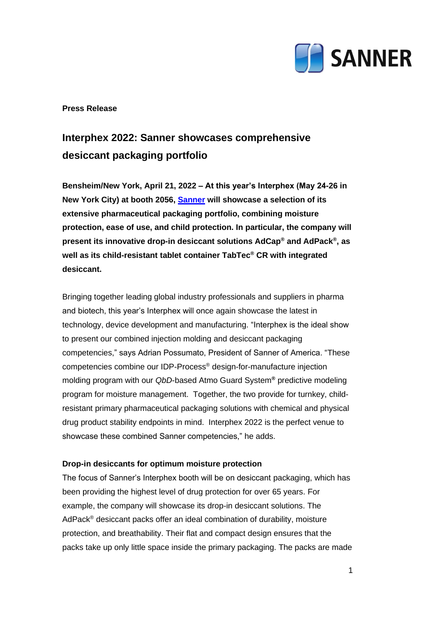

## **Press Release**

# **Interphex 2022: Sanner showcases comprehensive desiccant packaging portfolio**

**Bensheim/New York, April 21, 2022 – At this year's Interphex (May 24-26 in New York City) at booth 2056, [Sanner](https://www.sanner-group.com/en/) will showcase a selection of its extensive pharmaceutical packaging portfolio, combining moisture protection, ease of use, and child protection. In particular, the company will present its innovative drop-in desiccant solutions AdCap® and AdPack® , as well as its child-resistant tablet container TabTec® CR with integrated desiccant.**

Bringing together leading global industry professionals and suppliers in pharma and biotech, this year's Interphex will once again showcase the latest in technology, device development and manufacturing. "Interphex is the ideal show to present our combined injection molding and desiccant packaging competencies," says Adrian Possumato, President of Sanner of America. "These competencies combine our IDP-Process® design-for-manufacture injection molding program with our *QbD*-based Atmo Guard System**®** predictive modeling program for moisture management. Together, the two provide for turnkey, childresistant primary pharmaceutical packaging solutions with chemical and physical drug product stability endpoints in mind. Interphex 2022 is the perfect venue to showcase these combined Sanner competencies," he adds.

## **Drop-in desiccants for optimum moisture protection**

The focus of Sanner's Interphex booth will be on desiccant packaging, which has been providing the highest level of drug protection for over 65 years. For example, the company will showcase its drop-in desiccant solutions. The AdPack<sup>®</sup> desiccant packs offer an ideal combination of durability, moisture protection, and breathability. Their flat and compact design ensures that the packs take up only little space inside the primary packaging. The packs are made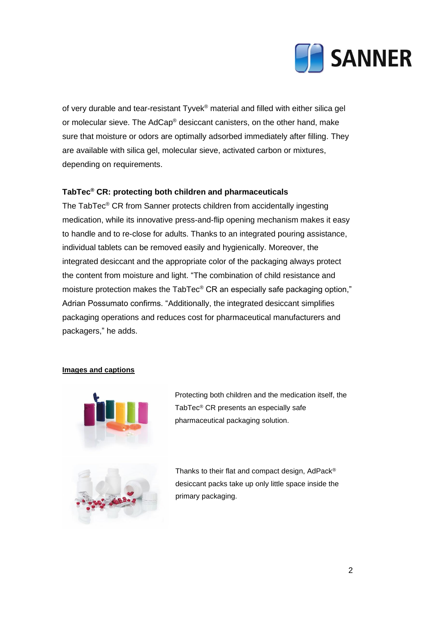

of very durable and tear-resistant Tyvek® material and filled with either silica gel or molecular sieve. The AdCap® desiccant canisters, on the other hand, make sure that moisture or odors are optimally adsorbed immediately after filling. They are available with silica gel, molecular sieve, activated carbon or mixtures, depending on requirements.

## **TabTec® CR: protecting both children and pharmaceuticals**

The TabTec® CR from Sanner protects children from accidentally ingesting medication, while its innovative press-and-flip opening mechanism makes it easy to handle and to re-close for adults. Thanks to an integrated pouring assistance, individual tablets can be removed easily and hygienically. Moreover, the integrated desiccant and the appropriate color of the packaging always protect the content from moisture and light. "The combination of child resistance and moisture protection makes the TabTec® CR an especially safe packaging option," Adrian Possumato confirms. "Additionally, the integrated desiccant simplifies packaging operations and reduces cost for pharmaceutical manufacturers and packagers," he adds.

#### **Images and captions**



Protecting both children and the medication itself, the TabTec® CR presents an especially safe pharmaceutical packaging solution.

Thanks to their flat and compact design, AdPack® desiccant packs take up only little space inside the primary packaging.